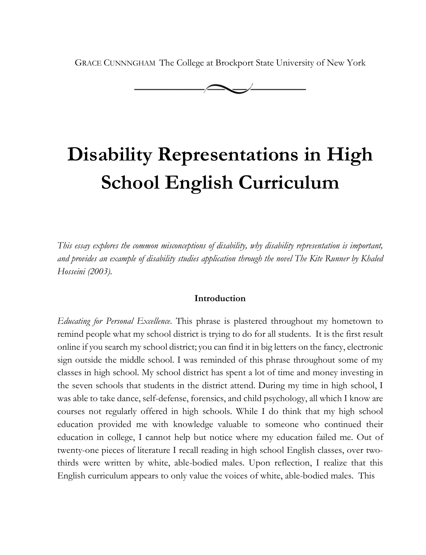GRACE CUNNNGHAM The College at Brockport State University of New York



# **Disability Representations in High School English Curriculum**

*This essay explores the common misconceptions of disability, why disability representation is important, and provides an example of disability studies application through the novel The Kite Runner by Khaled Hosseini (2003).* 

## **Introduction**

*Educating for Personal Excellence*. This phrase is plastered throughout my hometown to remind people what my school district is trying to do for all students. It is the first result online if you search my school district; you can find it in big letters on the fancy, electronic sign outside the middle school. I was reminded of this phrase throughout some of my classes in high school. My school district has spent a lot of time and money investing in the seven schools that students in the district attend. During my time in high school, I was able to take dance, self-defense, forensics, and child psychology, all which I know are courses not regularly offered in high schools. While I do think that my high school education provided me with knowledge valuable to someone who continued their education in college, I cannot help but notice where my education failed me. Out of twenty-one pieces of literature I recall reading in high school English classes, over twothirds were written by white, able-bodied males. Upon reflection, I realize that this English curriculum appears to only value the voices of white, able-bodied males. This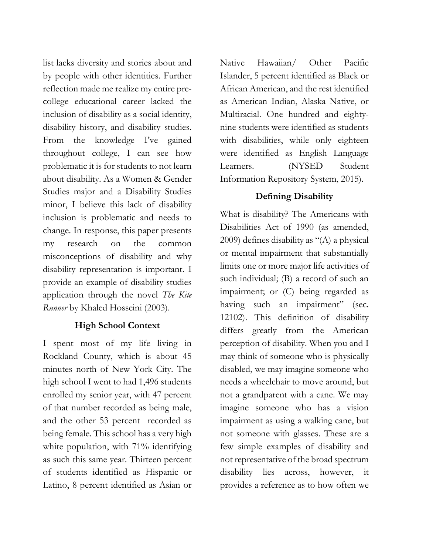list lacks diversity and stories about and by people with other identities. Further reflection made me realize my entire precollege educational career lacked the inclusion of disability as a social identity, disability history, and disability studies. From the knowledge I've gained throughout college, I can see how problematic it is for students to not learn about disability. As a Women & Gender Studies major and a Disability Studies minor, I believe this lack of disability inclusion is problematic and needs to change. In response, this paper presents my research on the common misconceptions of disability and why disability representation is important. I provide an example of disability studies application through the novel *The Kite Runner* by Khaled Hosseini (2003).

## **High School Context**

I spent most of my life living in Rockland County, which is about 45 minutes north of New York City. The high school I went to had 1,496 students enrolled my senior year, with 47 percent of that number recorded as being male, and the other 53 percent recorded as being female. This school has a very high white population, with 71% identifying as such this same year. Thirteen percent of students identified as Hispanic or Latino, 8 percent identified as Asian or Native Hawaiian/ Other Pacific Islander, 5 percent identified as Black or African American, and the rest identified as American Indian, Alaska Native, or Multiracial. One hundred and eightynine students were identified as students with disabilities, while only eighteen were identified as English Language Learners. (NYSED Student Information Repository System, 2015).

# **Defining Disability**

What is disability? The Americans with Disabilities Act of 1990 (as amended, 2009) defines disability as "(A) a physical or mental impairment that substantially limits one or more major life activities of such individual; (B) a record of such an impairment; or (C) being regarded as having such an impairment" (sec. 12102). This definition of disability differs greatly from the American perception of disability. When you and I may think of someone who is physically disabled, we may imagine someone who needs a wheelchair to move around, but not a grandparent with a cane. We may imagine someone who has a vision impairment as using a walking cane, but not someone with glasses. These are a few simple examples of disability and not representative of the broad spectrum disability lies across, however, it provides a reference as to how often we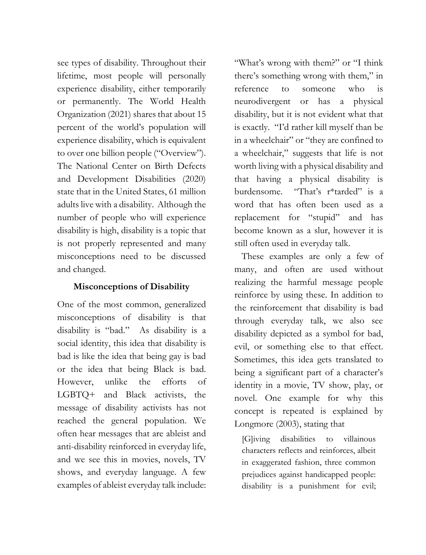see types of disability. Throughout their lifetime, most people will personally experience disability, either temporarily or permanently. The World Health Organization (2021) shares that about 15 percent of the world's population will experience disability, which is equivalent to over one billion people ("Overview"). The National Center on Birth Defects and Development Disabilities (2020) state that in the United States, 61 million adults live with a disability. Although the number of people who will experience disability is high, disability is a topic that is not properly represented and many misconceptions need to be discussed and changed.

# **Misconceptions of Disability**

One of the most common, generalized misconceptions of disability is that disability is "bad." As disability is a social identity, this idea that disability is bad is like the idea that being gay is bad or the idea that being Black is bad. However, unlike the efforts of LGBTQ+ and Black activists, the message of disability activists has not reached the general population. We often hear messages that are ableist and anti-disability reinforced in everyday life, and we see this in movies, novels, TV shows, and everyday language. A few examples of ableist everyday talk include:

"What's wrong with them?" or "I think there's something wrong with them," in reference to someone who is neurodivergent or has a physical disability, but it is not evident what that is exactly. "I'd rather kill myself than be in a wheelchair" or "they are confined to a wheelchair," suggests that life is not worth living with a physical disability and that having a physical disability is burdensome. "That's r\*tarded" is a word that has often been used as a replacement for "stupid" and has become known as a slur, however it is still often used in everyday talk.

These examples are only a few of many, and often are used without realizing the harmful message people reinforce by using these. In addition to the reinforcement that disability is bad through everyday talk, we also see disability depicted as a symbol for bad, evil, or something else to that effect. Sometimes, this idea gets translated to being a significant part of a character's identity in a movie, TV show, play, or novel. One example for why this concept is repeated is explained by Longmore (2003), stating that

[G]iving disabilities to villainous characters reflects and reinforces, albeit in exaggerated fashion, three common prejudices against handicapped people: disability is a punishment for evil;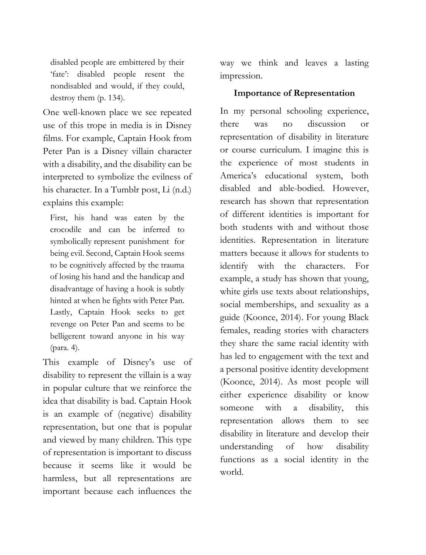disabled people are embittered by their 'fate': disabled people resent the nondisabled and would, if they could, destroy them (p. 134).

One well-known place we see repeated use of this trope in media is in Disney films. For example, Captain Hook from Peter Pan is a Disney villain character with a disability, and the disability can be interpreted to symbolize the evilness of his character. In a Tumblr post, Li (n.d.) explains this example:

First, his hand was eaten by the crocodile and can be inferred to symbolically represent punishment for being evil. Second, Captain Hook seems to be cognitively affected by the trauma of losing his hand and the handicap and disadvantage of having a hook is subtly hinted at when he fights with Peter Pan. Lastly, Captain Hook seeks to get revenge on Peter Pan and seems to be belligerent toward anyone in his way (para. 4).

This example of Disney's use of disability to represent the villain is a way in popular culture that we reinforce the idea that disability is bad. Captain Hook is an example of (negative) disability representation, but one that is popular and viewed by many children. This type of representation is important to discuss because it seems like it would be harmless, but all representations are important because each influences the

way we think and leaves a lasting impression.

### **Importance of Representation**

In my personal schooling experience, there was no discussion or representation of disability in literature or course curriculum. I imagine this is the experience of most students in America's educational system, both disabled and able-bodied. However, research has shown that representation of different identities is important for both students with and without those identities. Representation in literature matters because it allows for students to identify with the characters. For example, a study has shown that young, white girls use texts about relationships, social memberships, and sexuality as a guide (Koonce, 2014). For young Black females, reading stories with characters they share the same racial identity with has led to engagement with the text and a personal positive identity development (Koonce, 2014). As most people will either experience disability or know someone with a disability, this representation allows them to see disability in literature and develop their understanding of how disability functions as a social identity in the world.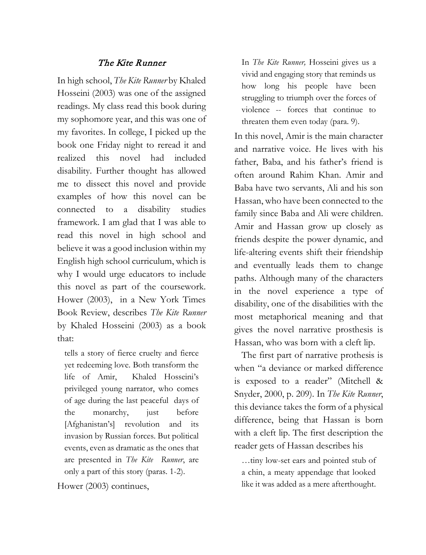## The Kite Runner

In high school, *The Kite Runner* by Khaled Hosseini (2003) was one of the assigned readings. My class read this book during my sophomore year, and this was one of my favorites. In college, I picked up the book one Friday night to reread it and realized this novel had included disability. Further thought has allowed me to dissect this novel and provide examples of how this novel can be connected to a disability studies framework. I am glad that I was able to read this novel in high school and believe it was a good inclusion within my English high school curriculum, which is why I would urge educators to include this novel as part of the coursework. Hower (2003), in a New York Times Book Review, describes *The Kite Runner* by Khaled Hosseini (2003) as a book that:

tells a story of fierce cruelty and fierce yet redeeming love. Both transform the life of Amir, Khaled Hosseini's privileged young narrator, who comes of age during the last peaceful days of the monarchy, just before [Afghanistan's] revolution and its invasion by Russian forces. But political events, even as dramatic as the ones that are presented in *The Kite Runner*, are only a part of this story (paras. 1-2).

Hower (2003) continues,

In *The Kite Runner,* Hosseini gives us a vivid and engaging story that reminds us how long his people have been struggling to triumph over the forces of violence -- forces that continue to threaten them even today (para. 9).

In this novel, Amir is the main character and narrative voice. He lives with his father, Baba, and his father's friend is often around Rahim Khan. Amir and Baba have two servants, Ali and his son Hassan, who have been connected to the family since Baba and Ali were children. Amir and Hassan grow up closely as friends despite the power dynamic, and life-altering events shift their friendship and eventually leads them to change paths. Although many of the characters in the novel experience a type of disability, one of the disabilities with the most metaphorical meaning and that gives the novel narrative prosthesis is Hassan, who was born with a cleft lip.

The first part of narrative prothesis is when "a deviance or marked difference is exposed to a reader" (Mitchell & Snyder, 2000, p. 209). In *The Kite Runner*, this deviance takes the form of a physical difference, being that Hassan is born with a cleft lip. The first description the reader gets of Hassan describes his

…tiny low-set ears and pointed stub of a chin, a meaty appendage that looked like it was added as a mere afterthought.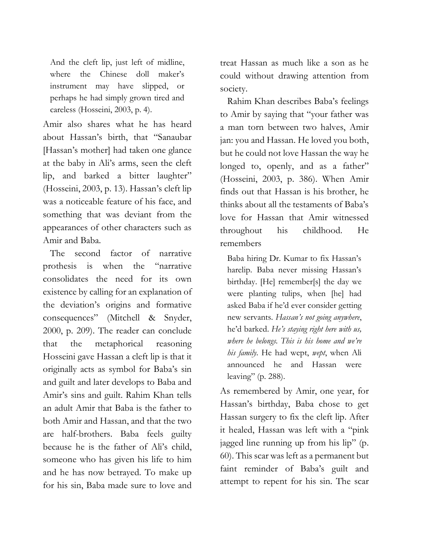And the cleft lip, just left of midline, where the Chinese doll maker's instrument may have slipped, or perhaps he had simply grown tired and careless (Hosseini, 2003, p. 4).

Amir also shares what he has heard about Hassan's birth, that "Sanaubar [Hassan's mother] had taken one glance at the baby in Ali's arms, seen the cleft lip, and barked a bitter laughter" (Hosseini, 2003, p. 13). Hassan's cleft lip was a noticeable feature of his face, and something that was deviant from the appearances of other characters such as Amir and Baba.

The second factor of narrative prothesis is when the "narrative consolidates the need for its own existence by calling for an explanation of the deviation's origins and formative consequences" (Mitchell & Snyder, 2000, p. 209). The reader can conclude that the metaphorical reasoning Hosseini gave Hassan a cleft lip is that it originally acts as symbol for Baba's sin and guilt and later develops to Baba and Amir's sins and guilt. Rahim Khan tells an adult Amir that Baba is the father to both Amir and Hassan, and that the two are half-brothers. Baba feels guilty because he is the father of Ali's child, someone who has given his life to him and he has now betrayed. To make up for his sin, Baba made sure to love and treat Hassan as much like a son as he could without drawing attention from society.

Rahim Khan describes Baba's feelings to Amir by saying that "your father was a man torn between two halves, Amir jan: you and Hassan. He loved you both, but he could not love Hassan the way he longed to, openly, and as a father" (Hosseini, 2003, p. 386). When Amir finds out that Hassan is his brother, he thinks about all the testaments of Baba's love for Hassan that Amir witnessed throughout his childhood. He remembers

Baba hiring Dr. Kumar to fix Hassan's harelip. Baba never missing Hassan's birthday. [He] remember[s] the day we were planting tulips, when [he] had asked Baba if he'd ever consider getting new servants. *Hassan's not going anywhere*, he'd barked. *He's staying right here with us, where he belongs. This is his home and we're his family*. He had wept, *wept*, when Ali announced he and Hassan were leaving" (p. 288).

As remembered by Amir, one year, for Hassan's birthday, Baba chose to get Hassan surgery to fix the cleft lip. After it healed, Hassan was left with a "pink jagged line running up from his lip" (p. 60). This scar was left as a permanent but faint reminder of Baba's guilt and attempt to repent for his sin. The scar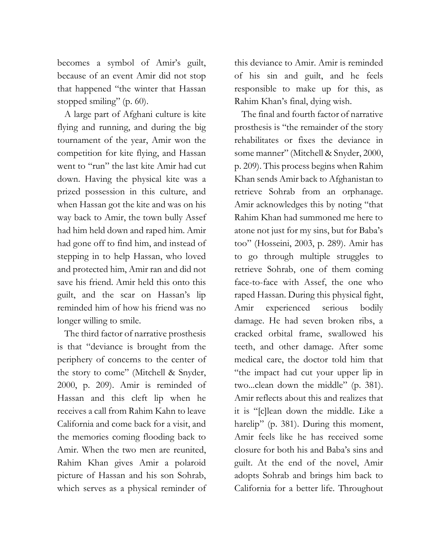becomes a symbol of Amir's guilt, because of an event Amir did not stop that happened "the winter that Hassan stopped smiling" (p. 60).

A large part of Afghani culture is kite flying and running, and during the big tournament of the year, Amir won the competition for kite flying, and Hassan went to "run" the last kite Amir had cut down. Having the physical kite was a prized possession in this culture, and when Hassan got the kite and was on his way back to Amir, the town bully Assef had him held down and raped him. Amir had gone off to find him, and instead of stepping in to help Hassan, who loved and protected him, Amir ran and did not save his friend. Amir held this onto this guilt, and the scar on Hassan's lip reminded him of how his friend was no longer willing to smile.

The third factor of narrative prosthesis is that "deviance is brought from the periphery of concerns to the center of the story to come" (Mitchell & Snyder, 2000, p. 209). Amir is reminded of Hassan and this cleft lip when he receives a call from Rahim Kahn to leave California and come back for a visit, and the memories coming flooding back to Amir. When the two men are reunited, Rahim Khan gives Amir a polaroid picture of Hassan and his son Sohrab, which serves as a physical reminder of

this deviance to Amir. Amir is reminded of his sin and guilt, and he feels responsible to make up for this, as Rahim Khan's final, dying wish.

The final and fourth factor of narrative prosthesis is "the remainder of the story rehabilitates or fixes the deviance in some manner" (Mitchell & Snyder, 2000, p. 209). This process begins when Rahim Khan sends Amir back to Afghanistan to retrieve Sohrab from an orphanage. Amir acknowledges this by noting "that Rahim Khan had summoned me here to atone not just for my sins, but for Baba's too" (Hosseini, 2003, p. 289). Amir has to go through multiple struggles to retrieve Sohrab, one of them coming face-to-face with Assef, the one who raped Hassan. During this physical fight, Amir experienced serious bodily damage. He had seven broken ribs, a cracked orbital frame, swallowed his teeth, and other damage. After some medical care, the doctor told him that "the impact had cut your upper lip in two...clean down the middle" (p. 381). Amir reflects about this and realizes that it is "[c]lean down the middle. Like a harelip" (p. 381). During this moment, Amir feels like he has received some closure for both his and Baba's sins and guilt. At the end of the novel, Amir adopts Sohrab and brings him back to California for a better life. Throughout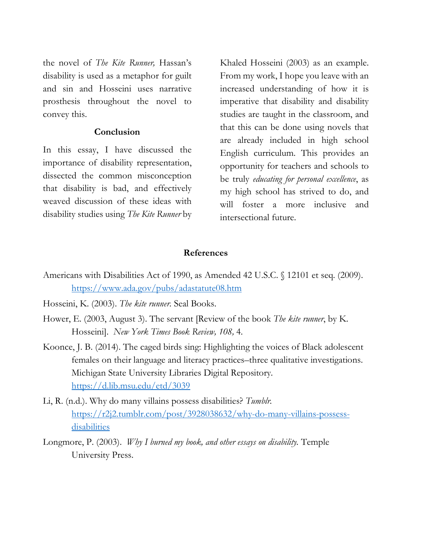the novel of *The Kite Runner,* Hassan's disability is used as a metaphor for guilt and sin and Hosseini uses narrative prosthesis throughout the novel to convey this.

### **Conclusion**

In this essay, I have discussed the importance of disability representation, dissected the common misconception that disability is bad, and effectively weaved discussion of these ideas with disability studies using *The Kite Runner* by Khaled Hosseini (2003) as an example. From my work, I hope you leave with an increased understanding of how it is imperative that disability and disability studies are taught in the classroom, and that this can be done using novels that are already included in high school English curriculum. This provides an opportunity for teachers and schools to be truly *educating for personal excellence*, as my high school has strived to do, and will foster a more inclusive and intersectional future.

#### **References**

- Americans with Disabilities Act of 1990, as Amended 42 U.S.C. § 12101 et seq. (2009). <https://www.ada.gov/pubs/adastatute08.htm>
- Hosseini, K. (2003). *The kite runner.* Seal Books.
- Hower, E. (2003, August 3). The servant [Review of the book *The kite runner*, by K. Hosseini]. *New York Times Book Review, 108,* 4.
- Koonce, J. B. (2014). The caged birds sing: Highlighting the voices of Black adolescent females on their language and literacy practices–three qualitative investigations. Michigan State University Libraries Digital Repository*.*  <https://d.lib.msu.edu/etd/3039>
- Li, R. (n.d.). Why do many villains possess disabilities? *Tumblr.* [https://r2j2.tumblr.com/post/3928038632/why-do-many-villains-possess](https://r2j2.tumblr.com/post/3928038632/why-do-many-villains-possess-disabilities)[di](https://r2j2.tumblr.com/post/3928038632/why-do-many-villains-possess-disabilities)sabilities
- Longmore, P. (2003). *Why I burned my book, and other essays on disability.* Temple University Press.